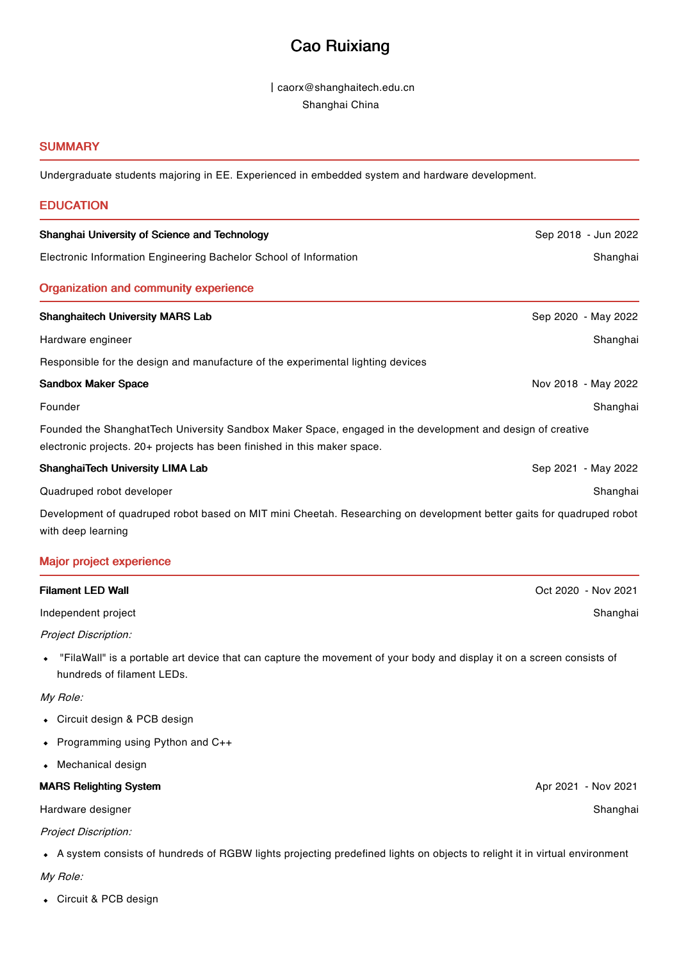# Cao Ruixiang

丨caorx@shanghaitech.edu.cn Shanghai China

### **SUMMARY**

Undergraduate students majoring in EE. Experienced in embedded system and hardware development.

| <b>EDUCATION</b>                                                                                                                                                                       |                     |
|----------------------------------------------------------------------------------------------------------------------------------------------------------------------------------------|---------------------|
| Shanghai University of Science and Technology                                                                                                                                          | Sep 2018 - Jun 2022 |
| Electronic Information Engineering Bachelor School of Information                                                                                                                      | Shanghai            |
| <b>Organization and community experience</b>                                                                                                                                           |                     |
| <b>Shanghaitech University MARS Lab</b>                                                                                                                                                | Sep 2020 - May 2022 |
| Hardware engineer                                                                                                                                                                      | Shanghai            |
| Responsible for the design and manufacture of the experimental lighting devices                                                                                                        |                     |
| <b>Sandbox Maker Space</b>                                                                                                                                                             | Nov 2018 - May 2022 |
| Founder                                                                                                                                                                                | Shanghai            |
| Founded the ShanghatTech University Sandbox Maker Space, engaged in the development and design of creative<br>electronic projects. 20+ projects has been finished in this maker space. |                     |
| <b>ShanghaiTech University LIMA Lab</b>                                                                                                                                                | Sep 2021 - May 2022 |
| Quadruped robot developer                                                                                                                                                              | Shanghai            |
| Development of quadruped robot based on MIT mini Cheetah. Researching on development better gaits for quadruped robot<br>with deep learning                                            |                     |
| <b>Major project experience</b>                                                                                                                                                        |                     |
| <b>Filament LED Wall</b>                                                                                                                                                               | Oct 2020 - Nov 2021 |

Independent project

Project Discription:

"FilaWall" is a portable art device that can capture the movement of your body and display it on a screen consists of hundreds of filament LEDs.

My Role:

- Circuit design & PCB design
- Programming using Python and C++
- Mechanical design

MARS Relighting System

Hardware designer

Project Discription:

A system consists of hundreds of RGBW lights projecting predefined lights on objects to relight it in virtual environment

My Role:

Circuit & PCB design

Apr 2021 - Nov 2021

Shanghai

Shanghai